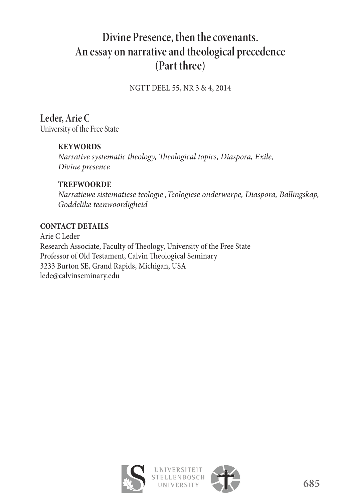# **Divine Presence, then the covenants. An essay on narrative and theological precedence (Part three)**

NGTT DEEL 55, NR 3 & 4, 2014

**Leder, Arie C**  University of the Free State

# **KEYWORDS**

*Narrative systematic theology, Theological topics, Diaspora, Exile, Divine presence*

### **TREFWOORDE**

*Narratiewe sistematiese teologie ,Teologiese onderwerpe, Diaspora, Ballingskap, Goddelike teenwoordigheid*

### **CONTACT DETAILS**

Arie C Leder Research Associate, Faculty of Theology, University of the Free State Professor of Old Testament, Calvin Theological Seminary 3233 Burton SE, Grand Rapids, Michigan, USA lede@calvinseminary.edu

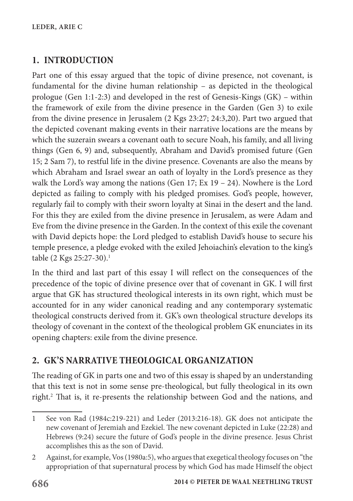# **1. INTRODUCTION**

Part one of this essay argued that the topic of divine presence, not covenant, is fundamental for the divine human relationship – as depicted in the theological prologue (Gen 1:1-2:3) and developed in the rest of Genesis-Kings (GK) – within the framework of exile from the divine presence in the Garden (Gen 3) to exile from the divine presence in Jerusalem (2 Kgs 23:27; 24:3,20). Part two argued that the depicted covenant making events in their narrative locations are the means by which the suzerain swears a covenant oath to secure Noah, his family, and all living things (Gen 6, 9) and, subsequently, Abraham and David's promised future (Gen 15; 2 Sam 7), to restful life in the divine presence. Covenants are also the means by which Abraham and Israel swear an oath of loyalty in the Lord's presence as they walk the Lord's way among the nations (Gen  $17$ ; Ex  $19 - 24$ ). Nowhere is the Lord depicted as failing to comply with his pledged promises. God's people, however, regularly fail to comply with their sworn loyalty at Sinai in the desert and the land. For this they are exiled from the divine presence in Jerusalem, as were Adam and Eve from the divine presence in the Garden. In the context of this exile the covenant with David depicts hope: the Lord pledged to establish David's house to secure his temple presence, a pledge evoked with the exiled Jehoiachin's elevation to the king's table (2 Kgs 25:27-30).<sup>1</sup>

In the third and last part of this essay I will reflect on the consequences of the precedence of the topic of divine presence over that of covenant in GK. I will first argue that GK has structured theological interests in its own right, which must be accounted for in any wider canonical reading and any contemporary systematic theological constructs derived from it. GK's own theological structure develops its theology of covenant in the context of the theological problem GK enunciates in its opening chapters: exile from the divine presence.

# **2. GK'S NARRATIVE THEOLOGICAL ORGANIZATION**

The reading of GK in parts one and two of this essay is shaped by an understanding that this text is not in some sense pre-theological, but fully theological in its own right.<sup>2</sup> That is, it re-presents the relationship between God and the nations, and

<sup>1</sup> See von Rad (1984c:219-221) and Leder (2013:216-18). GK does not anticipate the new covenant of Jeremiah and Ezekiel. The new covenant depicted in Luke (22:28) and Hebrews (9:24) secure the future of God's people in the divine presence. Jesus Christ accomplishes this as the son of David.

<sup>2</sup> Against, for example, Vos (1980a:5), who argues that exegetical theology focuses on "the appropriation of that supernatural process by which God has made Himself the object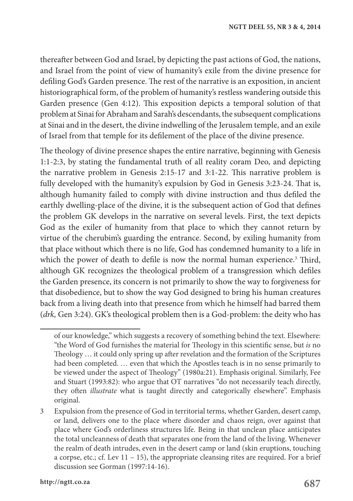thereafter between God and Israel, by depicting the past actions of God, the nations, and Israel from the point of view of humanity's exile from the divine presence for defiling God's Garden presence. The rest of the narrative is an exposition, in ancient historiographical form, of the problem of humanity's restless wandering outside this Garden presence (Gen 4:12). This exposition depicts a temporal solution of that problem at Sinai for Abraham and Sarah's descendants, the subsequent complications at Sinai and in the desert, the divine indwelling of the Jerusalem temple, and an exile of Israel from that temple for its defilement of the place of the divine presence.

The theology of divine presence shapes the entire narrative, beginning with Genesis 1:1-2:3, by stating the fundamental truth of all reality coram Deo, and depicting the narrative problem in Genesis 2:15-17 and 3:1-22. This narrative problem is fully developed with the humanity's expulsion by God in Genesis 3:23-24. That is, although humanity failed to comply with divine instruction and thus defiled the earthly dwelling-place of the divine, it is the subsequent action of God that defines the problem GK develops in the narrative on several levels. First, the text depicts God as the exiler of humanity from that place to which they cannot return by virtue of the cherubim's guarding the entrance. Second, by exiling humanity from that place without which there is no life, God has condemned humanity to a life in which the power of death to defile is now the normal human experience.<sup>3</sup> Third, although GK recognizes the theological problem of a transgression which defiles the Garden presence, its concern is not primarily to show the way to forgiveness for that disobedience, but to show the way God designed to bring his human creatures back from a living death into that presence from which he himself had barred them (*drk,* Gen 3:24). GK's theological problem then is a God-problem: the deity who has

of our knowledge," which suggests a recovery of something behind the text. Elsewhere: "the Word of God furnishes the material for Theology in this scientific sense, but *is* no Theology … it could only spring up after revelation and the formation of the Scriptures had been completed. … even that which the Apostles teach is in no sense primarily to be viewed under the aspect of Theology" (1980a:21). Emphasis original. Similarly, Fee and Stuart (1993:82): who argue that OT narratives "do not necessarily teach directly, they often *illustrate* what is taught directly and categorically elsewhere". Emphasis original.

<sup>3</sup> Expulsion from the presence of God in territorial terms, whether Garden, desert camp, or land, delivers one to the place where disorder and chaos reign, over against that place where God's orderliness structures life. Being in that unclean place anticipates the total uncleanness of death that separates one from the land of the living. Whenever the realm of death intrudes, even in the desert camp or land (skin eruptions, touching a corpse, etc.; cf. Lev 11 – 15), the appropriate cleansing rites are required. For a brief discussion see Gorman (1997:14-16).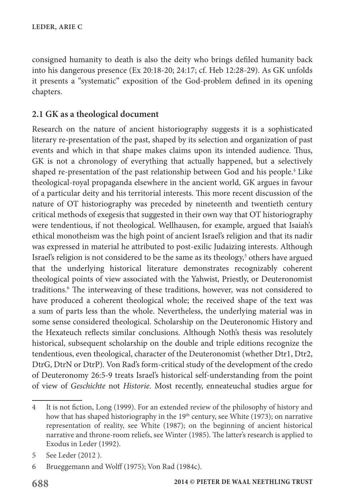consigned humanity to death is also the deity who brings defiled humanity back into his dangerous presence (Ex 20:18-20; 24:17; cf. Heb 12:28-29). As GK unfolds it presents a "systematic" exposition of the God-problem defined in its opening chapters.

# **2.1 GK as a theological document**

Research on the nature of ancient historiography suggests it is a sophisticated literary re-presentation of the past, shaped by its selection and organization of past events and which in that shape makes claims upon its intended audience. Thus, GK is not a chronology of everything that actually happened, but a selectively shaped re-presentation of the past relationship between God and his people.<sup>4</sup> Like theological-royal propaganda elsewhere in the ancient world, GK argues in favour of a particular deity and his territorial interests. This more recent discussion of the nature of OT historiography was preceded by nineteenth and twentieth century critical methods of exegesis that suggested in their own way that OT historiography were tendentious, if not theological. Wellhausen, for example, argued that Isaiah's ethical monotheism was the high point of ancient Israel's religion and that its nadir was expressed in material he attributed to post-exilic Judaizing interests. Although Israel's religion is not considered to be the same as its theology,<sup>5</sup> others have argued that the underlying historical literature demonstrates recognizably coherent theological points of view associated with the Yahwist, Priestly, or Deuteronomist traditions.<sup>6</sup> The interweaving of these traditions, however, was not considered to have produced a coherent theological whole; the received shape of the text was a sum of parts less than the whole. Nevertheless, the underlying material was in some sense considered theological. Scholarship on the Deuteronomic History and the Hexateuch reflects similar conclusions. Although Noth's thesis was resolutely historical, subsequent scholarship on the double and triple editions recognize the tendentious, even theological, character of the Deuteronomist (whether Dtr1, Dtr2, DtrG, DtrN or DtrP). Von Rad's form-critical study of the development of the credo of Deuteronomy 26:5-9 treats Israel's historical self-understanding from the point of view of *Geschichte* not *Historie.* Most recently, enneateuchal studies argue for

<sup>4</sup> It is not fiction, Long (1999). For an extended review of the philosophy of history and how that has shaped historiography in the  $19<sup>th</sup>$  century, see White (1973); on narrative representation of reality, see White (1987); on the beginning of ancient historical narrative and throne-room reliefs, see Winter (1985). The latter's research is applied to Exodus in Leder (1992).

<sup>5</sup> See Leder (2012 ).

<sup>6</sup> Brueggemann and Wolff (1975); Von Rad (1984c).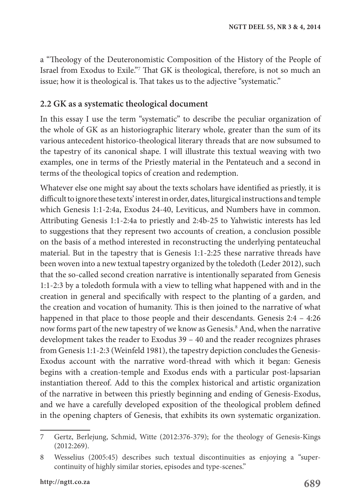a "Theology of the Deuteronomistic Composition of the History of the People of Israel from Exodus to Exile."7 That GK is theological, therefore, is not so much an issue; how it is theological is. That takes us to the adjective "systematic."

#### **2.2 GK as a systematic theological document**

In this essay I use the term "systematic" to describe the peculiar organization of the whole of GK as an historiographic literary whole, greater than the sum of its various antecedent historico-theological literary threads that are now subsumed to the tapestry of its canonical shape. I will illustrate this textual weaving with two examples, one in terms of the Priestly material in the Pentateuch and a second in terms of the theological topics of creation and redemption.

Whatever else one might say about the texts scholars have identified as priestly, it is difficult to ignore these texts' interest in order, dates, liturgical instructions and temple which Genesis 1:1-2:4a, Exodus 24-40, Leviticus, and Numbers have in common. Attributing Genesis 1:1-2:4a to priestly and 2:4b-25 to Yahwistic interests has led to suggestions that they represent two accounts of creation, a conclusion possible on the basis of a method interested in reconstructing the underlying pentateuchal material. But in the tapestry that is Genesis 1:1-2:25 these narrative threads have been woven into a new textual tapestry organized by the toledoth (Leder 2012), such that the so-called second creation narrative is intentionally separated from Genesis 1:1-2:3 by a toledoth formula with a view to telling what happened with and in the creation in general and specifically with respect to the planting of a garden, and the creation and vocation of humanity. This is then joined to the narrative of what happened in that place to those people and their descendants. Genesis 2:4 - 4:26 now forms part of the new tapestry of we know as Genesis.<sup>8</sup> And, when the narrative development takes the reader to Exodus 39 – 40 and the reader recognizes phrases from Genesis 1:1-2:3 (Weinfeld 1981), the tapestry depiction concludes the Genesis-Exodus account with the narrative word-thread with which it began: Genesis begins with a creation-temple and Exodus ends with a particular post-lapsarian instantiation thereof. Add to this the complex historical and artistic organization of the narrative in between this priestly beginning and ending of Genesis-Exodus, and we have a carefully developed exposition of the theological problem defined in the opening chapters of Genesis, that exhibits its own systematic organization.

<sup>7</sup> Gertz, Berlejung, Schmid, Witte (2012:376-379); for the theology of Genesis-Kings (2012:269).

<sup>8</sup> Wesselius (2005:45) describes such textual discontinuities as enjoying a "supercontinuity of highly similar stories, episodes and type-scenes."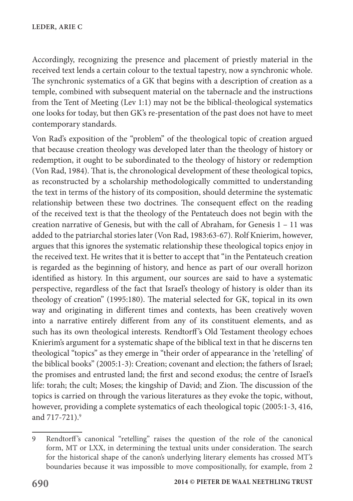Accordingly, recognizing the presence and placement of priestly material in the received text lends a certain colour to the textual tapestry, now a synchronic whole. The synchronic systematics of a GK that begins with a description of creation as a temple, combined with subsequent material on the tabernacle and the instructions from the Tent of Meeting (Lev 1:1) may not be the biblical-theological systematics one looks for today, but then GK's re-presentation of the past does not have to meet contemporary standards.

Von Rad's exposition of the "problem" of the theological topic of creation argued that because creation theology was developed later than the theology of history or redemption, it ought to be subordinated to the theology of history or redemption (Von Rad, 1984). That is, the chronological development of these theological topics, as reconstructed by a scholarship methodologically committed to understanding the text in terms of the history of its composition, should determine the systematic relationship between these two doctrines. The consequent effect on the reading of the received text is that the theology of the Pentateuch does not begin with the creation narrative of Genesis, but with the call of Abraham, for Genesis 1 – 11 was added to the patriarchal stories later (Von Rad, 1983:63-67). Rolf Knierim, however, argues that this ignores the systematic relationship these theological topics enjoy in the received text. He writes that it is better to accept that "in the Pentateuch creation is regarded as the beginning of history, and hence as part of our overall horizon identified as history. In this argument, our sources are said to have a systematic perspective, regardless of the fact that Israel's theology of history is older than its theology of creation" (1995:180). The material selected for GK, topical in its own way and originating in different times and contexts, has been creatively woven into a narrative entirely different from any of its constituent elements, and as such has its own theological interests. Rendtorff 's Old Testament theology echoes Knierim's argument for a systematic shape of the biblical text in that he discerns ten theological "topics" as they emerge in "their order of appearance in the 'retelling' of the biblical books" (2005:1-3): Creation; covenant and election; the fathers of Israel; the promises and entrusted land; the first and second exodus; the centre of Israel's life: torah; the cult; Moses; the kingship of David; and Zion. The discussion of the topics is carried on through the various literatures as they evoke the topic, without, however, providing a complete systematics of each theological topic (2005:1-3, 416, and 717-721).<sup>9</sup>

<sup>9</sup> Rendtorff 's canonical "retelling" raises the question of the role of the canonical form, MT or LXX, in determining the textual units under consideration. The search for the historical shape of the canon's underlying literary elements has crossed MT's boundaries because it was impossible to move compositionally, for example, from 2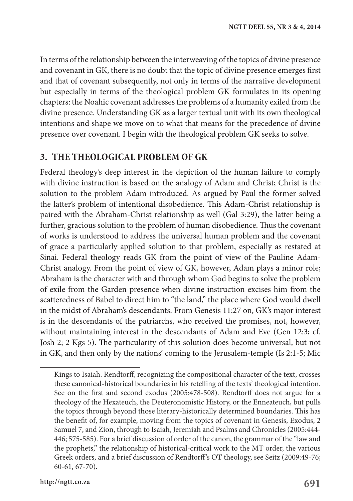In terms of the relationship between the interweaving of the topics of divine presence and covenant in GK, there is no doubt that the topic of divine presence emerges first and that of covenant subsequently, not only in terms of the narrative development but especially in terms of the theological problem GK formulates in its opening chapters: the Noahic covenant addresses the problems of a humanity exiled from the divine presence. Understanding GK as a larger textual unit with its own theological intentions and shape we move on to what that means for the precedence of divine presence over covenant. I begin with the theological problem GK seeks to solve.

#### **3. THE THEOLOGICAL PROBLEM OF GK**

Federal theology's deep interest in the depiction of the human failure to comply with divine instruction is based on the analogy of Adam and Christ; Christ is the solution to the problem Adam introduced. As argued by Paul the former solved the latter's problem of intentional disobedience. This Adam-Christ relationship is paired with the Abraham-Christ relationship as well (Gal 3:29), the latter being a further, gracious solution to the problem of human disobedience. Thus the covenant of works is understood to address the universal human problem and the covenant of grace a particularly applied solution to that problem, especially as restated at Sinai. Federal theology reads GK from the point of view of the Pauline Adam-Christ analogy. From the point of view of GK, however, Adam plays a minor role; Abraham is the character with and through whom God begins to solve the problem of exile from the Garden presence when divine instruction excises him from the scatteredness of Babel to direct him to "the land," the place where God would dwell in the midst of Abraham's descendants. From Genesis 11:27 on, GK's major interest is in the descendants of the patriarchs, who received the promises, not, however, without maintaining interest in the descendants of Adam and Eve (Gen 12:3; cf. Josh 2; 2 Kgs 5). The particularity of this solution does become universal, but not in GK, and then only by the nations' coming to the Jerusalem-temple (Is 2:1-5; Mic

Kings to Isaiah. Rendtorff, recognizing the compositional character of the text, crosses these canonical-historical boundaries in his retelling of the texts' theological intention. See on the first and second exodus (2005:478-508). Rendtorff does not argue for a theology of the Hexateuch, the Deuteronomistic History, or the Enneateuch, but pulls the topics through beyond those literary-historically determined boundaries. This has the benefit of, for example, moving from the topics of covenant in Genesis, Exodus, 2 Samuel 7, and Zion, through to Isaiah, Jeremiah and Psalms and Chronicles (2005:444- 446; 575-585). For a brief discussion of order of the canon, the grammar of the "law and the prophets," the relationship of historical-critical work to the MT order, the various Greek orders, and a brief discussion of Rendtorff 's OT theology, see Seitz (2009:49-76; 60-61, 67-70).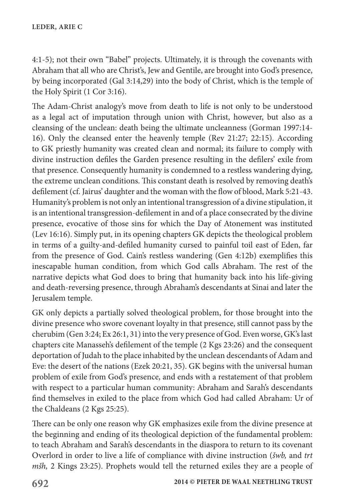4:1-5); not their own "Babel" projects. Ultimately, it is through the covenants with Abraham that all who are Christ's, Jew and Gentile, are brought into God's presence, by being incorporated (Gal 3:14,29) into the body of Christ, which is the temple of the Holy Spirit (1 Cor 3:16).

The Adam-Christ analogy's move from death to life is not only to be understood as a legal act of imputation through union with Christ, however, but also as a cleansing of the unclean: death being the ultimate uncleanness (Gorman 1997:14- 16). Only the cleansed enter the heavenly temple (Rev 21:27; 22:15). According to GK priestly humanity was created clean and normal; its failure to comply with divine instruction defiles the Garden presence resulting in the defilers' exile from that presence. Consequently humanity is condemned to a restless wandering dying, the extreme unclean conditions. This constant death is resolved by removing death's defilement (cf. Jairus' daughter and the woman with the flow of blood, Mark 5:21-43. Humanity's problem is not only an intentional transgression of a divine stipulation, it is an intentional transgression-defilement in and of a place consecrated by the divine presence, evocative of those sins for which the Day of Atonement was instituted (Lev 16:16). Simply put, in its opening chapters GK depicts the theological problem in terms of a guilty-and-defiled humanity cursed to painful toil east of Eden, far from the presence of God. Cain's restless wandering (Gen 4:12b) exemplifies this inescapable human condition, from which God calls Abraham. The rest of the narrative depicts what God does to bring that humanity back into his life-giving and death-reversing presence, through Abraham's descendants at Sinai and later the Jerusalem temple.

GK only depicts a partially solved theological problem, for those brought into the divine presence who swore covenant loyalty in that presence, still cannot pass by the cherubim (Gen 3:24; Ex 26:1, 31) into the very presence of God. Even worse, GK's last chapters cite Manasseh's defilement of the temple (2 Kgs 23:26) and the consequent deportation of Judah to the place inhabited by the unclean descendants of Adam and Eve: the desert of the nations (Ezek 20:21, 35). GK begins with the universal human problem of exile from God's presence, and ends with a restatement of that problem with respect to a particular human community: Abraham and Sarah's descendants find themselves in exiled to the place from which God had called Abraham: Ur of the Chaldeans (2 Kgs 25:25).

There can be only one reason why GK emphasizes exile from the divine presence at the beginning and ending of its theological depiction of the fundamental problem: to teach Abraham and Sarah's descendants in the diaspora to return to its covenant Overlord in order to live a life of compliance with divine instruction (*šwb,* and *trt mšh,* 2 Kings 23:25). Prophets would tell the returned exiles they are a people of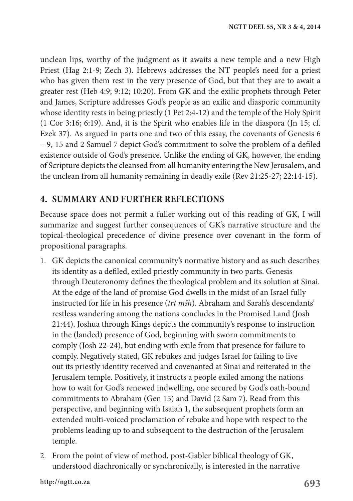unclean lips, worthy of the judgment as it awaits a new temple and a new High Priest (Hag 2:1-9; Zech 3). Hebrews addresses the NT people's need for a priest who has given them rest in the very presence of God, but that they are to await a greater rest (Heb 4:9; 9:12; 10:20). From GK and the exilic prophets through Peter and James, Scripture addresses God's people as an exilic and diasporic community whose identity rests in being priestly (1 Pet 2:4-12) and the temple of the Holy Spirit (1 Cor 3:16; 6:19). And, it is the Spirit who enables life in the diaspora (Jn 15; cf. Ezek 37). As argued in parts one and two of this essay, the covenants of Genesis 6 – 9, 15 and 2 Samuel 7 depict God's commitment to solve the problem of a defiled existence outside of God's presence. Unlike the ending of GK, however, the ending of Scripture depicts the cleansed from all humanity entering the New Jerusalem, and the unclean from all humanity remaining in deadly exile (Rev 21:25-27; 22:14-15).

# **4. SUMMARY AND FURTHER REFLECTIONS**

Because space does not permit a fuller working out of this reading of GK, I will summarize and suggest further consequences of GK's narrative structure and the topical-theological precedence of divine presence over covenant in the form of propositional paragraphs.

- 1. GK depicts the canonical community's normative history and as such describes its identity as a defiled, exiled priestly community in two parts. Genesis through Deuteronomy defines the theological problem and its solution at Sinai. At the edge of the land of promise God dwells in the midst of an Israel fully instructed for life in his presence (*trt mšh*). Abraham and Sarah's descendants' restless wandering among the nations concludes in the Promised Land (Josh 21:44). Joshua through Kings depicts the community's response to instruction in the (landed) presence of God, beginning with sworn commitments to comply (Josh 22-24), but ending with exile from that presence for failure to comply. Negatively stated, GK rebukes and judges Israel for failing to live out its priestly identity received and covenanted at Sinai and reiterated in the Jerusalem temple. Positively, it instructs a people exiled among the nations how to wait for God's renewed indwelling, one secured by God's oath-bound commitments to Abraham (Gen 15) and David (2 Sam 7). Read from this perspective, and beginning with Isaiah 1, the subsequent prophets form an extended multi-voiced proclamation of rebuke and hope with respect to the problems leading up to and subsequent to the destruction of the Jerusalem temple.
- 2. From the point of view of method, post-Gabler biblical theology of GK, understood diachronically or synchronically, is interested in the narrative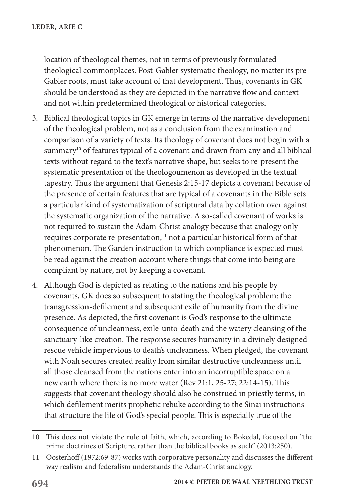location of theological themes, not in terms of previously formulated theological commonplaces. Post-Gabler systematic theology, no matter its pre-Gabler roots, must take account of that development. Thus, covenants in GK should be understood as they are depicted in the narrative flow and context and not within predetermined theological or historical categories.

- 3. Biblical theological topics in GK emerge in terms of the narrative development of the theological problem, not as a conclusion from the examination and comparison of a variety of texts. Its theology of covenant does not begin with a summary<sup>10</sup> of features typical of a covenant and drawn from any and all biblical texts without regard to the text's narrative shape, but seeks to re-present the systematic presentation of the theologoumenon as developed in the textual tapestry. Thus the argument that Genesis 2:15-17 depicts a covenant because of the presence of certain features that are typical of a covenants in the Bible sets a particular kind of systematization of scriptural data by collation over against the systematic organization of the narrative. A so-called covenant of works is not required to sustain the Adam-Christ analogy because that analogy only requires corporate re-presentation,<sup>11</sup> not a particular historical form of that phenomenon. The Garden instruction to which compliance is expected must be read against the creation account where things that come into being are compliant by nature, not by keeping a covenant.
- 4. Although God is depicted as relating to the nations and his people by covenants, GK does so subsequent to stating the theological problem: the transgression-defilement and subsequent exile of humanity from the divine presence. As depicted, the first covenant is God's response to the ultimate consequence of uncleanness, exile-unto-death and the watery cleansing of the sanctuary-like creation. The response secures humanity in a divinely designed rescue vehicle impervious to death's uncleanness. When pledged, the covenant with Noah secures created reality from similar destructive uncleanness until all those cleansed from the nations enter into an incorruptible space on a new earth where there is no more water (Rev 21:1, 25-27; 22:14-15). This suggests that covenant theology should also be construed in priestly terms, in which defilement merits prophetic rebuke according to the Sinai instructions that structure the life of God's special people. This is especially true of the

<sup>10</sup> This does not violate the rule of faith, which, according to Bokedal, focused on "the prime doctrines of Scripture, rather than the biblical books as such" (2013:250).

<sup>11</sup> Oosterhoff (1972:69-87) works with corporative personality and discusses the different way realism and federalism understands the Adam-Christ analogy.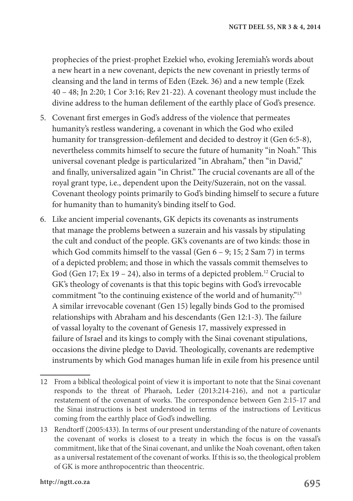prophecies of the priest-prophet Ezekiel who, evoking Jeremiah's words about a new heart in a new covenant, depicts the new covenant in priestly terms of cleansing and the land in terms of Eden (Ezek. 36) and a new temple (Ezek 40 – 48; Jn 2:20; 1 Cor 3:16; Rev 21-22). A covenant theology must include the divine address to the human defilement of the earthly place of God's presence.

- 5. Covenant first emerges in God's address of the violence that permeates humanity's restless wandering, a covenant in which the God who exiled humanity for transgression-defilement and decided to destroy it (Gen 6:5-8), nevertheless commits himself to secure the future of humanity "in Noah." This universal covenant pledge is particularized "in Abraham," then "in David," and finally, universalized again "in Christ." The crucial covenants are all of the royal grant type, i.e., dependent upon the Deity/Suzerain, not on the vassal. Covenant theology points primarily to God's binding himself to secure a future for humanity than to humanity's binding itself to God.
- 6. Like ancient imperial covenants, GK depicts its covenants as instruments that manage the problems between a suzerain and his vassals by stipulating the cult and conduct of the people. GK's covenants are of two kinds: those in which God commits himself to the vassal (Gen 6 – 9; 15; 2 Sam 7) in terms of a depicted problem; and those in which the vassals commit themselves to God (Gen 17; Ex 19 – 24), also in terms of a depicted problem.<sup>12</sup> Crucial to GK's theology of covenants is that this topic begins with God's irrevocable commitment "to the continuing existence of the world and of humanity."13 A similar irrevocable covenant (Gen 15) legally binds God to the promised relationships with Abraham and his descendants (Gen 12:1-3). The failure of vassal loyalty to the covenant of Genesis 17, massively expressed in failure of Israel and its kings to comply with the Sinai covenant stipulations, occasions the divine pledge to David. Theologically, covenants are redemptive instruments by which God manages human life in exile from his presence until
- 12 From a biblical theological point of view it is important to note that the Sinai covenant responds to the threat of Pharaoh, Leder (2013:214-216), and not a particular restatement of the covenant of works. The correspondence between Gen 2:15-17 and the Sinai instructions is best understood in terms of the instructions of Leviticus coming from the earthly place of God's indwelling.
- 13 Rendtorff (2005:433). In terms of our present understanding of the nature of covenants the covenant of works is closest to a treaty in which the focus is on the vassal's commitment, like that of the Sinai covenant, and unlike the Noah covenant, often taken as a universal restatement of the covenant of works. If this is so, the theological problem of GK is more anthropocentric than theocentric.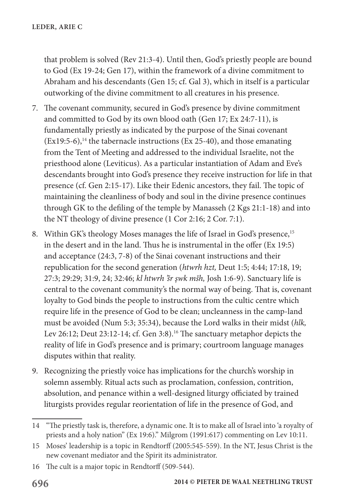that problem is solved (Rev 21:3-4). Until then, God's priestly people are bound to God (Ex 19-24; Gen 17), within the framework of a divine commitment to Abraham and his descendants (Gen 15; cf. Gal 3), which in itself is a particular outworking of the divine commitment to all creatures in his presence.

- 7. The covenant community, secured in God's presence by divine commitment and committed to God by its own blood oath (Gen 17; Ex 24:7-11), is fundamentally priestly as indicated by the purpose of the Sinai covenant  $(Ex19:5-6)$ ,<sup>14</sup> the tabernacle instructions (Ex 25-40), and those emanating from the Tent of Meeting and addressed to the individual Israelite, not the priesthood alone (Leviticus). As a particular instantiation of Adam and Eve's descendants brought into God's presence they receive instruction for life in that presence (cf. Gen 2:15-17). Like their Edenic ancestors, they fail. The topic of maintaining the cleanliness of body and soul in the divine presence continues through GK to the defiling of the temple by Manasseh (2 Kgs 21:1-18) and into the NT theology of divine presence (1 Cor 2:16; 2 Cor. 7:1).
- 8. Within GK's theology Moses manages the life of Israel in God's presence,<sup>15</sup> in the desert and in the land. Thus he is instrumental in the offer (Ex 19:5) and acceptance (24:3, 7-8) of the Sinai covenant instructions and their republication for the second generation (*htwrh hzt,* Deut 1:5; 4:44; 17:18, 19; 27:3; 29:29; 31:9, 24; 32:46; *kl htwrh 'šr wk mšh,* Josh 1:6-9). Sanctuary life is central to the covenant community's the normal way of being. That is, covenant loyalty to God binds the people to instructions from the cultic centre which require life in the presence of God to be clean; uncleanness in the camp-land must be avoided (Num 5:3; 35:34), because the Lord walks in their midst (*hlk,* Lev 26:12; Deut 23:12-14; cf. Gen 3:8).<sup>16</sup> The sanctuary metaphor depicts the reality of life in God's presence and is primary; courtroom language manages disputes within that reality.
- 9. Recognizing the priestly voice has implications for the church's worship in solemn assembly. Ritual acts such as proclamation, confession, contrition, absolution, and penance within a well-designed liturgy officiated by trained liturgists provides regular reorientation of life in the presence of God, and

<sup>14</sup> "The priestly task is, therefore, a dynamic one. It is to make all of Israel into 'a royalty of priests and a holy nation" (Ex 19:6)." Milgrom (1991:617) commenting on Lev 10:11.

<sup>15</sup> Moses' leadership is a topic in Rendtorff (2005:545-559). In the NT, Jesus Christ is the new covenant mediator and the Spirit its administrator.

<sup>16</sup> The cult is a major topic in Rendtorff (509-544).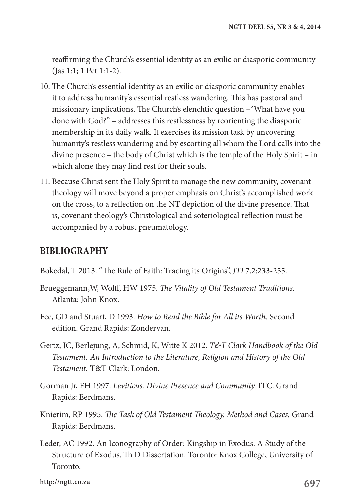reaffirming the Church's essential identity as an exilic or diasporic community (Jas 1:1; 1 Pet 1:1-2).

- 10. The Church's essential identity as an exilic or diasporic community enables it to address humanity's essential restless wandering. This has pastoral and missionary implications. The Church's elenchtic question –"What have you done with God?" – addresses this restlessness by reorienting the diasporic membership in its daily walk. It exercises its mission task by uncovering humanity's restless wandering and by escorting all whom the Lord calls into the divine presence – the body of Christ which is the temple of the Holy Spirit – in which alone they may find rest for their souls.
- 11. Because Christ sent the Holy Spirit to manage the new community, covenant theology will move beyond a proper emphasis on Christ's accomplished work on the cross, to a reflection on the NT depiction of the divine presence. That is, covenant theology's Christological and soteriological reflection must be accompanied by a robust pneumatology.

# **BIBLIOGRAPHY**

- Bokedal, T 2013. "The Rule of Faith: Tracing its Origins", *JTI* 7.2:233-255.
- Brueggemann,W, Wolff, HW 1975. *The Vitality of Old Testament Traditions.* Atlanta: John Knox.
- Fee, GD and Stuart, D 1993. *How to Read the Bible for All its Worth.* Second edition. Grand Rapids: Zondervan.
- Gertz, JC, Berlejung, A, Schmid, K, Witte K 2012. *T&T Clark Handbook of the Old Testament. An Introduction to the Literature, Religion and History of the Old Testament.* T&T Clark: London.
- Gorman Jr, FH 1997. *Leviticus. Divine Presence and Community.* ITC. Grand Rapids: Eerdmans.
- Knierim, RP 1995. *The Task of Old Testament Theology. Method and Cases.* Grand Rapids: Eerdmans.
- Leder, AC 1992. An Iconography of Order: Kingship in Exodus. A Study of the Structure of Exodus. Th D Dissertation. Toronto: Knox College, University of Toronto.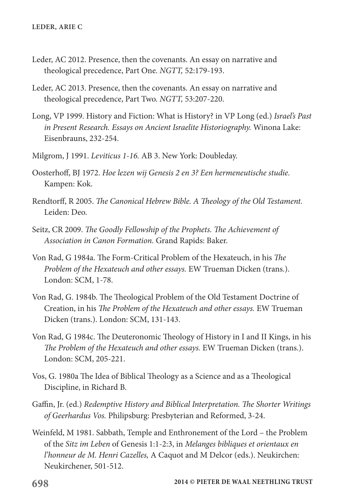- Leder, AC 2012. Presence, then the covenants. An essay on narrative and theological precedence, Part One. *NGTT,* 52:179-193.
- Leder, AC 2013. Presence, then the covenants. An essay on narrative and theological precedence, Part Two. *NGTT,* 53:207-220.
- Long, VP 1999. History and Fiction: What is History? in VP Long (ed.) *Israel's Past in Present Research. Essays on Ancient Israelite Historiography.* Winona Lake: Eisenbrauns, 232-254.
- Milgrom, J 1991. *Leviticus 1-16.* AB 3. New York: Doubleday.
- Oosterhoff, BJ 1972. *Hoe lezen wij Genesis 2 en 3? Een hermeneutische studie.* Kampen: Kok.
- Rendtorff, R 2005. *The Canonical Hebrew Bible. A Theology of the Old Testament.* Leiden: Deo.
- Seitz, CR 2009. *The Goodly Fellowship of the Prophets. The Achievement of Association in Canon Formation.* Grand Rapids: Baker.
- Von Rad, G 1984a. The Form-Critical Problem of the Hexateuch, in his *The Problem of the Hexateuch and other essays.* EW Trueman Dicken (trans.). London: SCM, 1-78.
- Von Rad, G. 1984b. The Theological Problem of the Old Testament Doctrine of Creation, in his *The Problem of the Hexateuch and other essays.* EW Trueman Dicken (trans.). London: SCM, 131-143.
- Von Rad, G 1984c. The Deuteronomic Theology of History in I and II Kings, in his *The Problem of the Hexateuch and other essays.* EW Trueman Dicken (trans.). London: SCM, 205-221.
- Vos, G. 1980a The Idea of Biblical Theology as a Science and as a Theological Discipline, in Richard B.
- Gaffin, Jr. (ed.) *Redemptive History and Biblical Interpretation. The Shorter Writings of Geerhardus Vos.* Philipsburg: Presbyterian and Reformed, 3-24.
- Weinfeld, M 1981. Sabbath, Temple and Enthronement of the Lord the Problem of the *Sitz im Leben* of Genesis 1:1-2:3, in *Melanges bibliques et orientaux en l'honneur de M. Henri Cazelles,* A Caquot and M Delcor (eds.). Neukirchen: Neukirchener, 501-512.